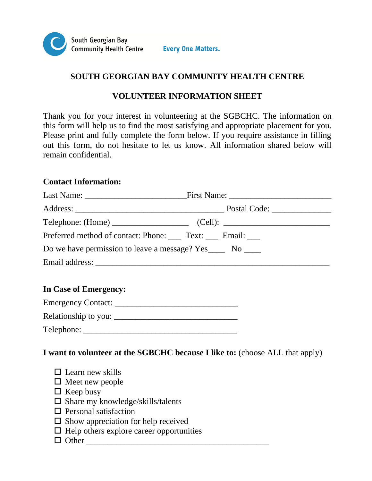

# **SOUTH GEORGIAN BAY COMMUNITY HEALTH CENTRE**

## **VOLUNTEER INFORMATION SHEET**

Thank you for your interest in volunteering at the SGBCHC. The information on this form will help us to find the most satisfying and appropriate placement for you. Please print and fully complete the form below. If you require assistance in filling out this form, do not hesitate to let us know. All information shared below will remain confidential.

### **Contact Information:**

| Preferred method of contact: Phone: Text: Email:             |
|--------------------------------------------------------------|
| Do we have permission to leave a message? Yes______ No _____ |
|                                                              |
|                                                              |
|                                                              |

## **In Case of Emergency:**

| <b>Emergency Contact:</b> |  |
|---------------------------|--|
| Relationship to you:      |  |
| Telephone:                |  |

**I want to volunteer at the SGBCHC because I like to:** (choose ALL that apply)

| $\Box$ Learn new skills                         |  |
|-------------------------------------------------|--|
| $\Box$ Meet new people                          |  |
| $\Box$ Keep busy                                |  |
| $\Box$ Share my knowledge/skills/talents        |  |
| $\Box$ Personal satisfaction                    |  |
| $\Box$ Show appreciation for help received      |  |
| $\Box$ Help others explore career opportunities |  |
| $\Box$ Other                                    |  |
|                                                 |  |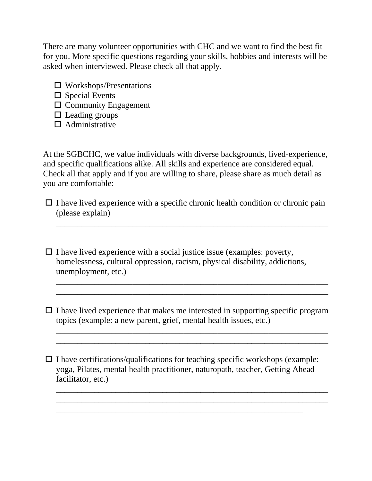There are many volunteer opportunities with CHC and we want to find the best fit for you. More specific questions regarding your skills, hobbies and interests will be asked when interviewed. Please check all that apply.

- $\Box$  Workshops/Presentations
- $\square$  Special Events
- $\square$  Community Engagement
- $\Box$  Leading groups
- $\Box$  Administrative

At the SGBCHC, we value individuals with diverse backgrounds, lived-experience, and specific qualifications alike. All skills and experience are considered equal. Check all that apply and if you are willing to share, please share as much detail as you are comfortable:

 $\Box$  I have lived experience with a specific chronic health condition or chronic pain (please explain)

\_\_\_\_\_\_\_\_\_\_\_\_\_\_\_\_\_\_\_\_\_\_\_\_\_\_\_\_\_\_\_\_\_\_\_\_\_\_\_\_\_\_\_\_\_\_\_\_\_\_\_\_\_\_\_\_\_\_\_\_\_\_\_\_ \_\_\_\_\_\_\_\_\_\_\_\_\_\_\_\_\_\_\_\_\_\_\_\_\_\_\_\_\_\_\_\_\_\_\_\_\_\_\_\_\_\_\_\_\_\_\_\_\_\_\_\_\_\_\_\_\_\_\_\_\_\_\_\_

 $\Box$  I have lived experience with a social justice issue (examples: poverty, homelessness, cultural oppression, racism, physical disability, addictions, unemployment, etc.)

 $\Box$  I have lived experience that makes me interested in supporting specific program topics (example: a new parent, grief, mental health issues, etc.)

\_\_\_\_\_\_\_\_\_\_\_\_\_\_\_\_\_\_\_\_\_\_\_\_\_\_\_\_\_\_\_\_\_\_\_\_\_\_\_\_\_\_\_\_\_\_\_\_\_\_\_\_\_\_\_\_\_\_\_\_\_\_\_\_ \_\_\_\_\_\_\_\_\_\_\_\_\_\_\_\_\_\_\_\_\_\_\_\_\_\_\_\_\_\_\_\_\_\_\_\_\_\_\_\_\_\_\_\_\_\_\_\_\_\_\_\_\_\_\_\_\_\_\_\_\_\_\_\_

\_\_\_\_\_\_\_\_\_\_\_\_\_\_\_\_\_\_\_\_\_\_\_\_\_\_\_\_\_\_\_\_\_\_\_\_\_\_\_\_\_\_\_\_\_\_\_\_\_\_\_\_\_\_\_\_\_\_\_\_\_\_\_\_ \_\_\_\_\_\_\_\_\_\_\_\_\_\_\_\_\_\_\_\_\_\_\_\_\_\_\_\_\_\_\_\_\_\_\_\_\_\_\_\_\_\_\_\_\_\_\_\_\_\_\_\_\_\_\_\_\_\_\_\_\_\_\_\_

\_\_\_\_\_\_\_\_\_\_\_\_\_\_\_\_\_\_\_\_\_\_\_\_\_\_\_\_\_\_\_\_\_\_\_\_\_\_\_\_\_\_\_\_\_\_\_\_\_\_\_\_\_\_\_\_\_\_\_\_\_\_\_\_ \_\_\_\_\_\_\_\_\_\_\_\_\_\_\_\_\_\_\_\_\_\_\_\_\_\_\_\_\_\_\_\_\_\_\_\_\_\_\_\_\_\_\_\_\_\_\_\_\_\_\_\_\_\_\_\_\_\_\_\_\_\_\_\_

 $\Box$  I have certifications/qualifications for teaching specific workshops (example: yoga, Pilates, mental health practitioner, naturopath, teacher, Getting Ahead facilitator, etc.)

\_\_\_\_\_\_\_\_\_\_\_\_\_\_\_\_\_\_\_\_\_\_\_\_\_\_\_\_\_\_\_\_\_\_\_\_\_\_\_\_\_\_\_\_\_\_\_\_\_\_\_\_\_\_\_\_\_\_